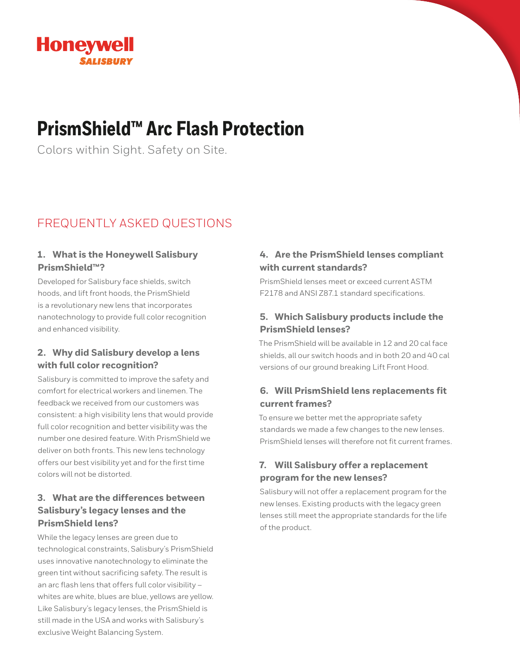

## **PrismShield™ Arc Flash Protection**

Colors within Sight. Safety on Site.

## FREQUENTLY ASKED QUESTIONS

#### **1. What is the Honeywell Salisbury PrismShield™?**

Developed for Salisbury face shields, switch hoods, and lift front hoods, the PrismShield is a revolutionary new lens that incorporates nanotechnology to provide full color recognition and enhanced visibility.

#### **2. Why did Salisbury develop a lens with full color recognition?**

Salisbury is committed to improve the safety and comfort for electrical workers and linemen. The feedback we received from our customers was consistent: a high visibility lens that would provide full color recognition and better visibility was the number one desired feature. With PrismShield we deliver on both fronts. This new lens technology offers our best visibility yet and for the first time colors will not be distorted.

## **3. What are the differences between Salisbury's legacy lenses and the PrismShield lens?**

While the legacy lenses are green due to technological constraints, Salisbury's PrismShield uses innovative nanotechnology to eliminate the green tint without sacrificing safety. The result is an arc flash lens that offers full color visibility – whites are white, blues are blue, yellows are yellow. Like Salisbury's legacy lenses, the PrismShield is still made in the USA and works with Salisbury's exclusive Weight Balancing System.

### **4. Are the PrismShield lenses compliant with current standards?**

PrismShield lenses meet or exceed current ASTM F2178 and ANSI Z87.1 standard specifications.

## **5. Which Salisbury products include the PrismShield lenses?**

The PrismShield will be available in 12 and 20 cal face shields, all our switch hoods and in both 20 and 40 cal versions of our ground breaking Lift Front Hood.

## **6. Will PrismShield lens replacements fit current frames?**

To ensure we better met the appropriate safety standards we made a few changes to the new lenses. PrismShield lenses will therefore not fit current frames.

## **7. Will Salisbury offer a replacement program for the new lenses?**

Salisbury will not offer a replacement program for the new lenses. Existing products with the legacy green lenses still meet the appropriate standards for the life of the product.